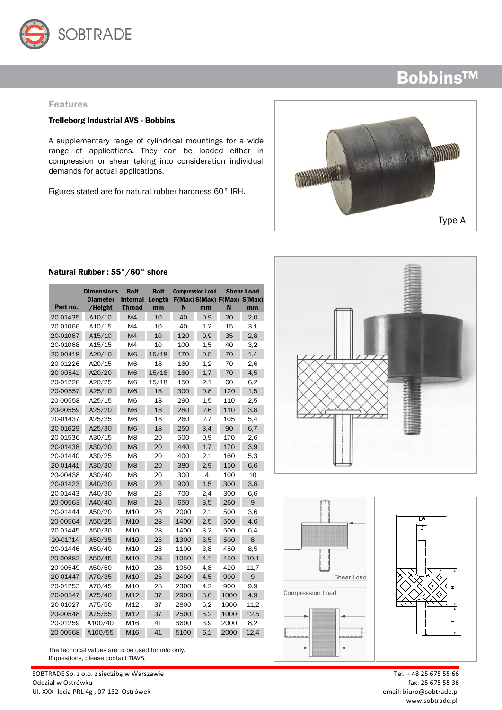

#### Features

#### Trelleborg Industrial AVS - Bobbins

A supplementary range of cylindrical mountings for a wide range of applications. They can be loaded either in compression or shear taking into consideration individual demands for actual applications.

Figures stated are for natural rubber hardness 60° IRH.





### Natural Rubber : 55°/60° shore

|          | <b>Dimensions</b><br><b>Diameter</b> | <b>Bolt</b><br><b>Internal</b> | <b>Bolt</b><br>Length |      | <b>Compression Load</b> |      | <b>Shear Load</b><br>F(Max) S(Max) F(Max) S(Max) |
|----------|--------------------------------------|--------------------------------|-----------------------|------|-------------------------|------|--------------------------------------------------|
| Part no. | /Height                              | <b>Thread</b>                  | mm                    | N    | mm                      | N    | mm                                               |
| 20-01435 | A10/10                               | M <sub>4</sub>                 | 10                    | 40   | 0.9                     | 20   | 2,0                                              |
| 20-01066 | A10/15                               | M4                             | 10                    | 40   | 1,2                     | 15   | 3,1                                              |
| 20-01067 | A15/10                               | M <sub>4</sub>                 | 10                    | 120  | 0,9                     | 35   | 2,8                                              |
| 20-01068 | A15/15                               | M4                             | 10                    | 100  | 1,5                     | 40   | 3,2                                              |
| 20-00418 | A20/10                               | M <sub>6</sub>                 | 15/18                 | 170  | 0,5                     | 70   | 1,4                                              |
| 20-01226 | A20/15                               | M <sub>6</sub>                 | 18                    | 160  | 1,2                     | 70   | 2,6                                              |
| 20-00541 | A20/20                               | <b>M6</b>                      | 15/18                 | 160  | 1,7                     | 70   | 4,5                                              |
| 20-01228 | A20/25                               | M <sub>6</sub>                 | 15/18                 | 150  | 2,1                     | 60   | 6,2                                              |
| 20-00557 | A25/10                               | M <sub>6</sub>                 | 18                    | 300  | 0,8                     | 120  | 1,5                                              |
| 20-00558 | A25/15                               | M <sub>6</sub>                 | 18                    | 290  | 1,5                     | 110  | 2,5                                              |
| 20-00559 | A25/20                               | M <sub>6</sub>                 | 18                    | 280  | 2,6                     | 110  | 3,8                                              |
| 20-01437 | A25/25                               | M6                             | 18                    | 260  | 2,7                     | 105  | 5,4                                              |
| 20-01629 | A25/30                               | M <sub>6</sub>                 | 18                    | 250  | 3,4                     | 90   | 6,7                                              |
| 20-01536 | A30/15                               | M <sub>8</sub>                 | 20                    | 500  | 0,9                     | 170  | 2,6                                              |
| 20-01438 | A30/20                               | M <sub>8</sub>                 | 20                    | 440  | 1,7                     | 170  | 3,9                                              |
| 20-01440 | A30/25                               | M <sub>8</sub>                 | 20                    | 400  | 2,1                     | 160  | 5,3                                              |
| 20-01441 | A30/30                               | M <sub>8</sub>                 | 20                    | 380  | 2,9                     | 150  | 6,6                                              |
| 20-00438 | A30/40                               | M <sub>8</sub>                 | 20                    | 300  | $\overline{4}$          | 100  | 10                                               |
| 20-01423 | A40/20                               | M <sub>8</sub>                 | 23                    | 900  | 1,5                     | 300  | 3,8                                              |
| 20-01443 | A40/30                               | M <sub>8</sub>                 | 23                    | 700  | 2,4                     | 300  | 6,6                                              |
| 20-00563 | A40/40                               | M <sub>8</sub>                 | 23                    | 650  | 3,5                     | 260  | 9                                                |
| 20-01444 | A50/20                               | M10                            | 28                    | 2000 | 2,1                     | 500  | 3,6                                              |
| 20-00564 | A50/25                               | M10                            | 28                    | 1400 | 2,5                     | 500  | 4,6                                              |
| 20-01445 | A50/30                               | M10                            | 28                    | 1400 | 3,2                     | 500  | 6,4                                              |
| 20-01714 | A50/35                               | M10                            | 25                    | 1300 | 3,5                     | 500  | 8                                                |
| 20-01446 | A50/40                               | M10                            | 28                    | 1100 | 3,8                     | 450  | 8,5                                              |
| 20-00882 | A50/45                               | M10                            | 28                    | 1050 | 4,1                     | 450  | 10,1                                             |
| 20-00549 | A50/50                               | M10                            | 28                    | 1050 | 4,8                     | 420  | 11,7                                             |
| 20-01447 | A70/35                               | M10                            | 25                    | 2400 | 4,5                     | 900  | 9                                                |
| 20-01253 | A70/45                               | M10                            | 28                    | 2300 | 4,2                     | 900  | 9,9                                              |
| 20-00547 | A75/40                               | M12                            | 37                    | 2900 | 3,6                     | 1000 | 4,9                                              |
| 20-01027 | A75/50                               | M12                            | 37                    | 2800 | 5,2                     | 1000 | 11,2                                             |
| 20-00548 | A75/55                               | M12                            | 37                    | 2500 | 5,2                     | 1000 | 12,5                                             |
| 20-01259 | A100/40                              | M16                            | 41                    | 6600 | 3,9                     | 2000 | 8,2                                              |
| 20-00568 | A100/55                              | M16                            | 41                    | 5100 | 6,1                     | 2000 | 12,4                                             |

The technical values are to be used for info only. If questions, please contact TIAVS.

SOBTRADE Sp. z o.o. z siedzibą w Warszawie Tel. + 48 25 675 55 66 Oddział w Ostrówku fax: 25 675 55 36 Ul. XXX- lecia PRL 4g , 07-132 Ostrówek email: biuro@sobtrade.pl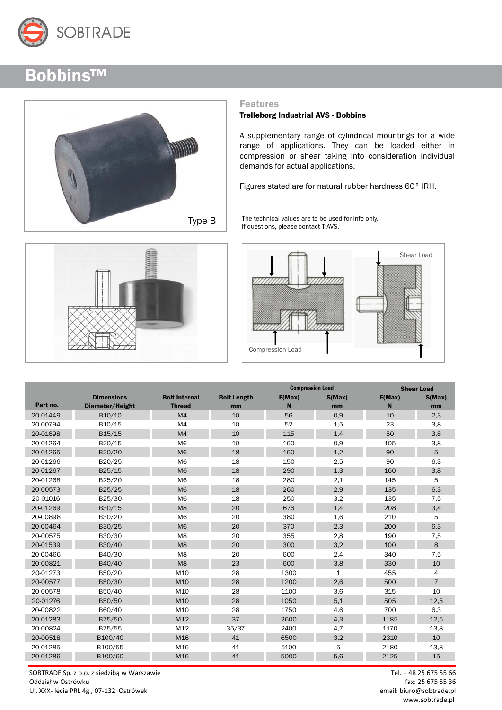



#### Features

#### Trelleborg Industrial AVS - Bobbins

A supplementary range of cylindrical mountings for a wide range of applications. They can be loaded either in compression or shear taking into consideration individual demands for actual applications.

Figures stated are for natural rubber hardness 60° IRH.

The technical values are to be used for info only. If questions, please contact TIAVS.



|                  | Shear Load |
|------------------|------------|
| Compression Load |            |

|          |                   |                      |                    | <b>Compression Load</b> |              | <b>Shear Load</b> |                |
|----------|-------------------|----------------------|--------------------|-------------------------|--------------|-------------------|----------------|
|          | <b>Dimensions</b> | <b>Bolt Internal</b> | <b>Bolt Length</b> | F(Max)                  | S(Max)       | F(Max)            | S(Max)         |
| Part no. | Diameter/Height   | <b>Thread</b>        | mm                 | N                       | mm           | N                 | mm             |
| 20-01449 | B10/10            | M <sub>4</sub>       | 10                 | 56                      | 0,9          | 10                | 2,3            |
| 20-00794 | B10/15            | M <sub>4</sub>       | 10                 | 52                      | 1,5          | 23                | 3,8            |
| 20-01698 | B15/15            | M <sub>4</sub>       | 10                 | 115                     | 1,4          | 50                | 3,8            |
| 20-01264 | B20/15            | M <sub>6</sub>       | 10                 | 160                     | 0,9          | 105               | 3,8            |
| 20-01265 | B20/20            | M <sub>6</sub>       | 18                 | 160                     | 1,2          | 90                | 5              |
| 20-01266 | B20/25            | M <sub>6</sub>       | 18                 | 150                     | 2,5          | 90                | 6,3            |
| 20-01267 | B25/15            | M <sub>6</sub>       | 18                 | 290                     | 1,3          | 160               | 3,8            |
| 20-01268 | B25/20            | M <sub>6</sub>       | 18                 | 280                     | 2,1          | 145               | 5              |
| 20-00573 | B25/25            | <b>M6</b>            | 18                 | 260                     | 2,9          | 135               | 6,3            |
| 20-01016 | B25/30            | M <sub>6</sub>       | 18                 | 250                     | 3,2          | 135               | 7,5            |
| 20-01269 | B30/15            | M <sub>8</sub>       | 20                 | 676                     | 1,4          | 208               | 3,4            |
| 20-00898 | B30/20            | M <sub>6</sub>       | 20                 | 380                     | 1,6          | 210               | 5              |
| 20-00464 | B30/25            | M <sub>6</sub>       | 20                 | 370                     | 2,3          | 200               | 6,3            |
| 20-00575 | B30/30            | M <sub>8</sub>       | 20                 | 355                     | 2,8          | 190               | 7,5            |
| 20-01539 | B30/40            | M <sub>8</sub>       | 20                 | 300                     | 3,2          | 100               | 8              |
| 20-00466 | B40/30            | M <sub>8</sub>       | 20                 | 600                     | 2,4          | 340               | 7,5            |
| 20-00821 | B40/40            | M <sub>8</sub>       | 23                 | 600                     | 3,8          | 330               | 10             |
| 20-01273 | B50/20            | M10                  | 28                 | 1300                    | $\mathbf{1}$ | 455               | 4              |
| 20-00577 | B50/30            | M10                  | 28                 | 1200                    | 2,6          | 500               | $\overline{7}$ |
| 20-00578 | B50/40            | M10                  | 28                 | 1100                    | 3,6          | 315               | 10             |
| 20-01276 | B50/50            | M10                  | 28                 | 1050                    | 5,1          | 505               | 12,5           |
| 20-00822 | B60/40            | M10                  | 28                 | 1750                    | 4,6          | 700               | 6,3            |
| 20-01283 | B75/50            | M12                  | 37                 | 2600                    | 4,3          | 1185              | 12,5           |
| 20-00824 | B75/55            | M12                  | 35/37              | 2400                    | 4,7          | 1170              | 13,8           |
| 20-00518 | B100/40           | M16                  | 41                 | 6500                    | 3,2          | 2310              | 10             |
| 20-01285 | B100/55           | M16                  | 41                 | 5100                    | 5            | 2180              | 13,8           |
| 20-01286 | B100/60           | M16                  | 41                 | 5000                    | 5,6          | 2125              | 15             |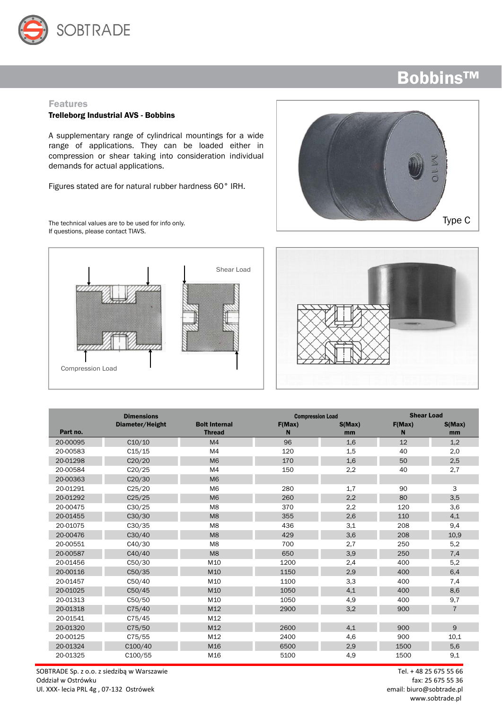

#### Features

#### Trelleborg Industrial AVS - Bobbins

A supplementary range of cylindrical mountings for a wide range of applications. They can be loaded either in compression or shear taking into consideration individual demands for actual applications.

Figures stated are for natural rubber hardness 60° IRH.

The technical values are to be used for info only. If questions, please contact TIAVS.







|          | <b>Dimensions</b> |                      | <b>Compression Load</b> |        | <b>Shear Load</b> |                |
|----------|-------------------|----------------------|-------------------------|--------|-------------------|----------------|
|          | Diameter/Height   | <b>Bolt Internal</b> | F(Max)                  | S(Max) | F(Max)            | S(Max)         |
| Part no. |                   | <b>Thread</b>        | N                       | mm     | N                 | mm             |
| 20-00095 | C10/10            | M <sub>4</sub>       | 96                      | 1,6    | 12                | 1,2            |
| 20-00583 | C15/15            | M <sub>4</sub>       | 120                     | 1,5    | 40                | 2,0            |
| 20-01298 | C20/20            | M <sub>6</sub>       | 170                     | 1,6    | 50                | 2,5            |
| 20-00584 | C20/25            | M <sub>4</sub>       | 150                     | 2,2    | 40                | 2,7            |
| 20-00363 | C20/30            | M <sub>6</sub>       |                         |        |                   |                |
| 20-01291 | C25/20            | M <sub>6</sub>       | 280                     | 1,7    | 90                | 3              |
| 20-01292 | C25/25            | M <sub>6</sub>       | 260                     | 2,2    | 80                | 3,5            |
| 20-00475 | C30/25            | M <sub>8</sub>       | 370                     | 2,2    | 120               | 3,6            |
| 20-01455 | C30/30            | M <sub>8</sub>       | 355                     | 2,6    | 110               | 4,1            |
| 20-01075 | C30/35            | M <sub>8</sub>       | 436                     | 3,1    | 208               | 9,4            |
| 20-00476 | C30/40            | M <sub>8</sub>       | 429                     | 3,6    | 208               | 10,9           |
| 20-00551 | C40/30            | M <sub>8</sub>       | 700                     | 2,7    | 250               | 5,2            |
| 20-00587 | C40/40            | M <sub>8</sub>       | 650                     | 3,9    | 250               | 7,4            |
| 20-01456 | C50/30            | M10                  | 1200                    | 2,4    | 400               | 5,2            |
| 20-00116 | C50/35            | M10                  | 1150                    | 2,9    | 400               | 6,4            |
| 20-01457 | C50/40            | M10                  | 1100                    | 3,3    | 400               | 7,4            |
| 20-01025 | C50/45            | M10                  | 1050                    | 4,1    | 400               | 8,6            |
| 20-01313 | C50/50            | M10                  | 1050                    | 4,9    | 400               | 9,7            |
| 20-01318 | C75/40            | M12                  | 2900                    | 3,2    | 900               | $\overline{7}$ |
| 20-01541 | C75/45            | M12                  |                         |        |                   |                |
| 20-01320 | C75/50            | M12                  | 2600                    | 4,1    | 900               | 9              |
| 20-00125 | C75/55            | M12                  | 2400                    | 4,6    | 900               | 10,1           |
| 20-01324 | C100/40           | M16                  | 6500                    | 2,9    | 1500              | 5,6            |
| 20-01325 | C100/55           | M16                  | 5100                    | 4,9    | 1500              | 9,1            |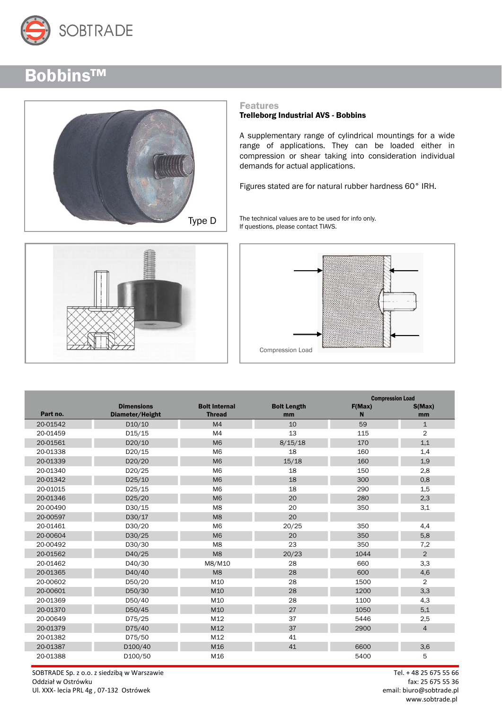



#### Features

#### Trelleborg Industrial AVS - Bobbins

A supplementary range of cylindrical mountings for a wide range of applications. They can be loaded either in compression or shear taking into consideration individual demands for actual applications.

Figures stated are for natural rubber hardness 60° IRH.

Type  $\overline{D}$  The technical values are to be used for info only. If questions, please contact TIAVS.





|          |                     |                      |                    | <b>Compression Load</b> |                |
|----------|---------------------|----------------------|--------------------|-------------------------|----------------|
|          | <b>Dimensions</b>   | <b>Bolt Internal</b> | <b>Bolt Length</b> | F(Max)                  | S(Max)         |
| Part no. | Diameter/Height     | <b>Thread</b>        | mm                 | N                       | mm             |
| 20-01542 | D10/10              | M <sub>4</sub>       | 10                 | 59                      | $\mathbf{1}$   |
| 20-01459 | D <sub>15</sub> /15 | M <sub>4</sub>       | 13                 | 115                     | $\overline{2}$ |
| 20-01561 | D20/10              | M <sub>6</sub>       | 8/15/18            | 170                     | 1,1            |
| 20-01338 | D20/15              | M <sub>6</sub>       | 18                 | 160                     | 1,4            |
| 20-01339 | D20/20              | M <sub>6</sub>       | 15/18              | 160                     | 1,9            |
| 20-01340 | D20/25              | M <sub>6</sub>       | 18                 | 150                     | 2,8            |
| 20-01342 | D25/10              | M <sub>6</sub>       | 18                 | 300                     | 0,8            |
| 20-01015 | D25/15              | M <sub>6</sub>       | 18                 | 290                     | 1,5            |
| 20-01346 | D25/20              | M <sub>6</sub>       | 20                 | 280                     | 2,3            |
| 20-00490 | D30/15              | M <sub>8</sub>       | 20                 | 350                     | 3,1            |
| 20-00597 | D30/17              | M <sub>8</sub>       | 20                 |                         |                |
| 20-01461 | D30/20              | M <sub>6</sub>       | 20/25              | 350                     | 4,4            |
| 20-00604 | D30/25              | M <sub>6</sub>       | 20                 | 350                     | 5,8            |
| 20-00492 | D30/30              | M <sub>8</sub>       | 23                 | 350                     | 7,2            |
| 20-01562 | D40/25              | M <sub>8</sub>       | 20/23              | 1044                    | $\overline{2}$ |
| 20-01462 | D40/30              | M8/M10               | 28                 | 660                     | 3,3            |
| 20-01365 | D40/40              | M <sub>8</sub>       | 28                 | 600                     | 4,6            |
| 20-00602 | D50/20              | M10                  | 28                 | 1500                    | $\overline{2}$ |
| 20-00601 | D50/30              | M10                  | 28                 | 1200                    | 3,3            |
| 20-01369 | D50/40              | M10                  | 28                 | 1100                    | 4,3            |
| 20-01370 | D50/45              | M10                  | 27                 | 1050                    | 5,1            |
| 20-00649 | D75/25              | M12                  | 37                 | 5446                    | 2,5            |
| 20-01379 | D75/40              | M12                  | 37                 | 2900                    | 4              |
| 20-01382 | D75/50              | M12                  | 41                 |                         |                |
| 20-01387 | D100/40             | M16                  | 41                 | 6600                    | 3,6            |
| 20-01388 | D100/50             | M16                  |                    | 5400                    | 5              |